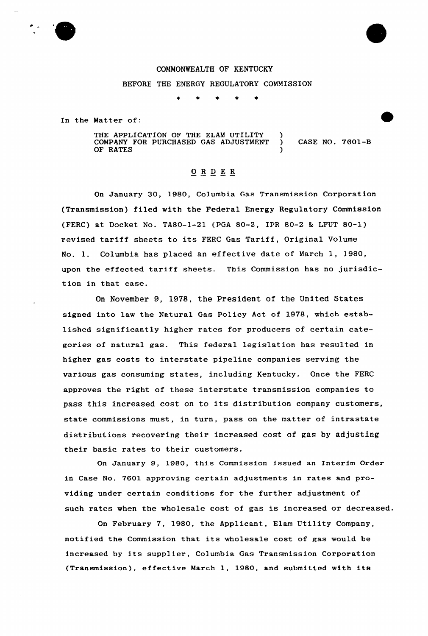

BEFORE THE ENERGY REGULATORY COMMISSION

 $\bullet$ 

In the Matter of:

THE APPLICATION OF THE ELAM UTILITY COMPANY FOR PURCHASED GAS ADJUSTMENT OF RATES ) ) CASE NO. 7601-B )

## ORDER

On January 30, 1980, Columbia Gas Transmission Corporation (Transmission) filed with the Federal Energy Regulatory Commission (FERC) at Docket No. TA80-1-21 (PGA 80-2, IPR 80-2 & LFUT 80-1) revised tariff sheets to its FERC Gas Tariff, Original Volume No. 1. Columbia has placed an effective date of March 1, 1980, upon the effected tariff sheets. This Commission has no jurisdiction in that case.

On November 9, 1978, the President of the United States signed into law the Natural Gas Policy Act of 1978, which established significantly higher rates for producers of certain categories of natural gas. This federal legislation has resulted in higher gas costs to interstate pipeline companies serving the various gas consuming states, including Kentucky. Once the FERC approves the right of these interstate transmission companies to pass this increased cost on to its distribution company customers, state commissions must, in turn, pass on the matter of intrastate distributions recovering their increased cost of gas by adjusting their basic rates to their customers.

On January 9, l980, this Commission issued an Interim Order in Case No. 7601 approving certain adjustments in rates and providing under certain conditions for the further adjustment of such rates when the wholesale cost of gas is increased or decreased.

On February 7, 1980, the Applicant, Elam Utility Company, notified the Commission that its wholesale cost of gas would be increased by its supplier, Columbia Gas Transmission Corporation (Transmission), effective March 1, 1980, and submitted with its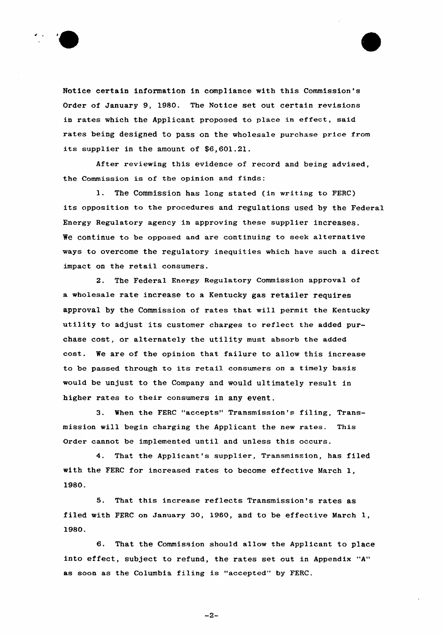



After reviewing this evidence of record and being advised, the Commission is of the opinion and finds:

1. The Commission has long stated (in writing to FERC} its opposition to the procedures and regulations used by the Federal Energy Regulatory agency in approving these supplier increases. We continue to be opposed and are continuing to seek alternative ways to overcome the regulatory inequities which have such a direct impact on the retail consumers.

2. The Federal Energy Regulatory Commission approval of a wholesale rate increase to a Kentucky gas retailer requires approval by the Commission of rates that will permit the Kentucky utility to adjust its customer charges to reflect the added purchase cost, or alternately the utility must absorb the added cost. We are of the opinion that failure to allow this increase to be passed through to its retail consumers on <sup>a</sup> timely basis would be unjust to the Company and would ultimately result in higher rates to their consumers in any event.

3. When the FERC "accepts" Transmission's filing, Transmission will begin charging the Applicant the new rates. This Order cannot be implemented until and unless this occurs.

4. That the Applicant's supplier, Transmission, has filed with the FERC for increased rates to become effective March 1, 1980.

5. That this increase reflects Transmission's rates as filed with PERC on January 30, 1980, and to be effective March 1, 1980.

6. That the Commission should allow the Applicant to place into effect, subject to refund, the rates set out in Appendix "A" as soon as the Columbia filing is "accepted" by FERC.

 $-2-$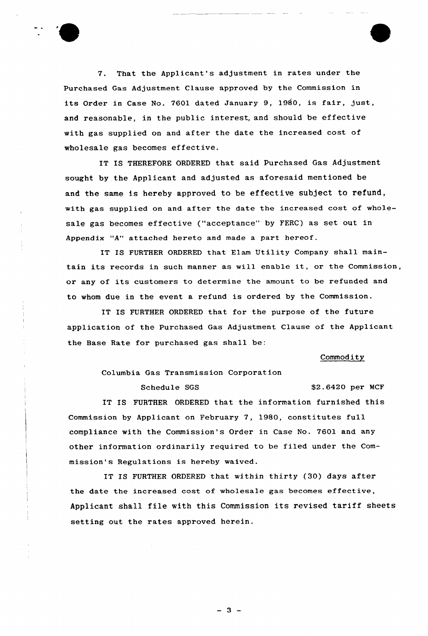

7. That the Applicant's adjustment in rates under the Purchased Gas Adjustment Clause approved by the Commission in its Order in Case No. 7601 dated January 9, 1980, is fair, just, and reasonable, in the public interest, and should be effective with gas supplied on and after the date the increased cost of wholesale gas becomes effective.

IT IS THEREFORE ORDERED that said Purchased Gas Adjustment sought by the Applicant and adjusted as aforesaid mentioned be and the same is hereby approved to be effective subject to refund, with gas supplied on and after the date the increased cost of wholesale gas becomes effective ("acceptance" by FERC) as set out in Appendix "A" attached hereto and made a part hereof.

IT IS FURTHER ORDERED that Elam Utility Company shall maintain its records in such manner as will enable it, or the Commission, or any of its customers to determine the amount to be refunded and to whom due in the event a refund is ordered by the Commission.

IT IS FURTHER ORDERED that for the purpose of the future application of the purchased Gas Adjustment Clause of the Applicant the Base Rate for purchased gas shall be:

## Commodity

Columbia Gas Transmission Corporat ion

Schedule SGS \$2.6420 per MCF

IT IS FURTHER ORDERED that the information furnished this Commission by Applicant on February 7, 1980, constitutes full compliance with the Commission's Order in Case No. 7601 and any other information ordinarily required to be filed under the Commission's Regulations is hereby waived.

IT IS FURTHER ORDERED that within thirty (30) days after the date the increased cost of wholesale gas becomes effective, Applicant shall file with this Commission its revised tariff sheets setting out the rates approved herein.

 $-3 -$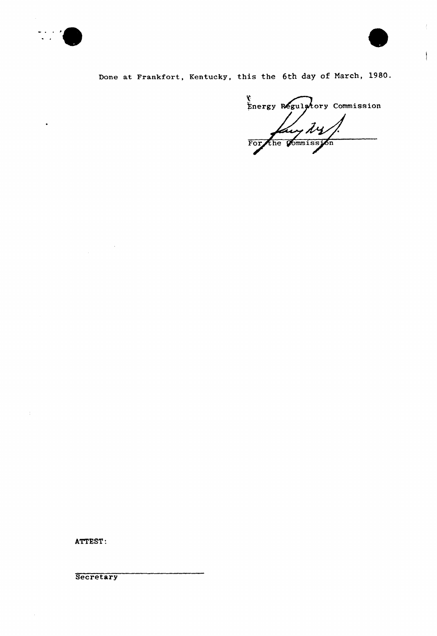

 $\ddot{\phantom{1}}$ 



 $\Bigg\}$ 

Done at Frankfort, Kentucky, this the 6th day of March, 1980.

Energy Regulatory Commission For the Commission

ATTEST:

 $\mathcal{L}^{\text{max}}_{\text{max}}$ 

 $\frac{1}{2}$ 

**Secretary** 

 $\bar{z}$